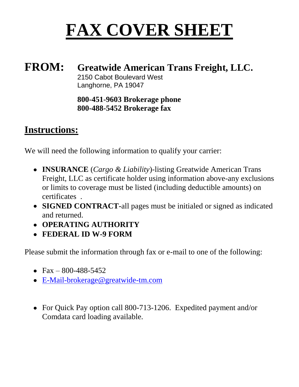# **FAX COVER SHEET**

## **FROM: Greatwide American Trans Freight, LLC.** 2150 Cabot Boulevard West Langhorne, PA 19047

## **800-451-9603 Brokerage phone 800-488-5452 Brokerage fax**

# **Instructions:**

We will need the following information to qualify your carrier:

- **INSURANCE** (*Cargo & Liability*)-listing Greatwide American Trans Freight, LLC as certificate holder using information above-any exclusions or limits to coverage must be listed (including deductible amounts) on certificates .
- **SIGNED CONTRACT-**all pages must be initialed or signed as indicated and returned.
- **OPERATING AUTHORITY**
- **FEDERAL ID W-9 FORM**

Please submit the information through fax or e-mail to one of the following:

- Fax 800-488-5452
- [E-Mail-brokerage@greatwide-tm.com](mailto:E-Mail-brokerage@greatwide-tm.com)
- For Quick Pay option call 800-713-1206. Expedited payment and/or Comdata card loading available.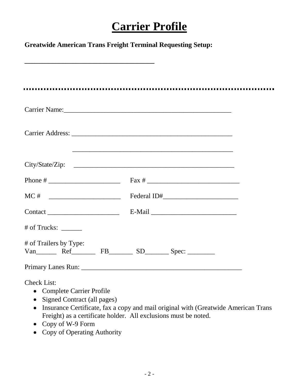# **Carrier Profile**

| <b>Greatwide American Trans Freight Terminal Requesting Setup:</b>                                                                                                                                                             |                                                                                                                                                       |
|--------------------------------------------------------------------------------------------------------------------------------------------------------------------------------------------------------------------------------|-------------------------------------------------------------------------------------------------------------------------------------------------------|
|                                                                                                                                                                                                                                |                                                                                                                                                       |
|                                                                                                                                                                                                                                |                                                                                                                                                       |
| Carrier Name: 2008 and 2008 and 2008 and 2008 and 2008 and 2008 and 2008 and 2008 and 2008 and 2008 and 2008 and 2008 and 2008 and 2008 and 2008 and 2008 and 2008 and 2008 and 2008 and 2008 and 2008 and 2008 and 2008 and 2 |                                                                                                                                                       |
|                                                                                                                                                                                                                                |                                                                                                                                                       |
|                                                                                                                                                                                                                                |                                                                                                                                                       |
|                                                                                                                                                                                                                                |                                                                                                                                                       |
|                                                                                                                                                                                                                                |                                                                                                                                                       |
|                                                                                                                                                                                                                                |                                                                                                                                                       |
| $#$ of Trucks: $\_\_$                                                                                                                                                                                                          |                                                                                                                                                       |
| # of Trailers by Type:<br>Van Ref FB SD Spec:                                                                                                                                                                                  |                                                                                                                                                       |
|                                                                                                                                                                                                                                |                                                                                                                                                       |
| <b>Check List:</b><br><b>Complete Carrier Profile</b><br>Signed Contract (all pages)<br>$\bullet$                                                                                                                              | Insurance Certificate, fax a copy and mail original with (Greatwide American Trans<br>Freight) as a certificate holder. All exclusions must be noted. |

- Copy of W-9 Form
- Copy of Operating Authority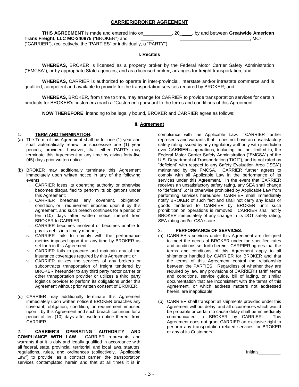#### **CARRIER/BROKER AGREEMENT**

**THIS AGREEMENT** is made and entered into on\_\_\_\_\_\_\_\_\_\_\_, 20\_ \_\_, by and between **Greatwide American Trans Freight, LLC MC-340975** ("BROKER") and \_\_\_\_\_ \_\_\_\_\_\_\_\_\_\_\_\_\_\_\_\_\_\_\_\_\_\_\_\_\_\_\_, MC- ("CARRIER"), (collectively, the "PARTIES" or individually, a "PARTY").

#### **I. Recitals**

**WHEREAS,** BROKER is licensed as a property broker by the Federal Motor Carrier Safety Administration ("FMCSA"), or by appropriate State agencies, and as a licensed broker, arranges for freight transportation; and

**WHEREAS,** CARRIER is authorized to operate in inter-provincial, interstate and/or intrastate commerce and is qualified, competent and available to provide for the transportation services required by BROKER; and

**WHEREAS,** BROKER, from time to time, may arrange for CARRIER to provide transportation services for certain products for BROKER's customers (each a "Customer") pursuant to the terms and conditions of this Agreement.

**NOW THEREFORE**, intending to be legally bound, BROKER and CARRIER agree as follows:

#### **II. Agreement**

#### 1. **TERM AND TERMINATION**.

- (a) The Term of this Agreement shall be for one (1) year and shall automatically renew for successive one (1) year periods; provided, however, that either PARTY may terminate this Agreement at any time by giving forty-five (45) days prior written notice.
- (b) BROKER may additionally terminate this Agreement immediately upon written notice in any of the following events:
	- i. CARRIER loses its operating authority or otherwise becomes disqualified to perform its obligations under this Agreement;
	- ii. CARRIER breaches any covenant, obligation, condition, or requirement imposed upon it by this Agreement, and such breach continues for a period of ten (10) days after written notice thereof from BROKER to CARRIER;
	- iii. CARRIER becomes insolvent or becomes unable to pay its debts in a timely manner;
	- iv. CARRIER fails to comply with the performance metrics imposed upon it at any time by BROKER as set forth in this Agreement;
	- v. CARRIER fails to procure and maintain any of the insurance coverages required by this Agreement; or
	- vi. CARRIER utilizes the services of any brokers or subcontracts transportation of freight tendered by BROKER hereunder to any third party motor carrier or other transportation provider or utilizes a third party logistics provider to perform its obligations under this Agreement without prior written consent of BROKER.
- (c) CARRIER may additionally terminate this Agreement immediately upon written notice if BROKER breaches any covenant, obligation, condition, or requirement imposed upon it by this Agreement and such breach continues for a period of ten (10) days after written notice thereof from CARRIER.

2. **CARRIER'S OPERATING AUTHORITY AND COMPLIANCE WITH LAW**. CARRIER represents and warrants that it is duly and legally qualified in accordance with all federal, state, provincial, territorial, and local laws, statutes, regulations, rules, and ordinances (collectively, "Applicable Law") to provide, as a contract carrier, the transportation services contemplated herein and that at all times it is in

compliance with the Applicable Law. CARRIER further represents and warrants that it does not have an unsatisfactory safety rating issued by any regulatory authority with jurisdiction over CARRIER's operations, including, but not limited to, the Federal Motor Carrier Safety Administration ("FMCSA") of the U.S. Department of Transportation ("DOT"), and is not rated as "deficient" with respect to any Safety Evaluation Area ("SEA") maintained by the FMCSA. CARRIER further agrees to comply with all Applicable Law in the performance of its services under this Agreement. In the event that CARRIER receives an unsatisfactory safety rating, any SEA shall change to "deficient" ,or is otherwise prohibited by Applicable Law from performing services hereunder, CARRIER shall immediately notify BROKER of such fact and shall not carry any loads or goods tendered to CARRIER by BROKER until such prohibition on operations is removed. CARRIER shall notify BROKER immediately of any change in its DOT safety rating, SEA rating and/or CSA score.

#### 3. **PERFORMANCE OF SERVICES**.

- (a) CARRIER's services under this Agreement are designed to meet the needs of BROKER under the specified rates and conditions set forth herein. CARRIER agrees that the terms and conditions of this Agreement apply to all shipments handled by CARRIER for BROKER and that the terms of this Agreement control the relationship between the PARTIES. Regardless of whether they are required by law, any provisions of CARRIER's tariff, terms and conditions, service guide, bill of lading, or similar documentation that are inconsistent with the terms of this Agreement, or which address matters not addressed herein, are inapplicable.
- (b) CARRIER shall transport all shipments provided under this Agreement without delay, and all occurrences which would be probable or certain to cause delay shall be immediately communicated to BROKER by CARRIER. This Agreement does not grant CARRIER an exclusive right to perform any transportation related services for BROKER or any of its Customers.

Initials\_\_\_\_\_\_\_\_\_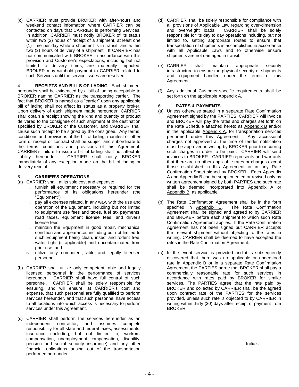(c) CARRIER must provide BROKER with after-hours and weekend contact information where CARRIER can be contacted on days that CARRIER is performing Services. In addition, CARRIER must notify BROKER of its status within two (2) hours of receipt of a shipment, at least one (1) time per day while a shipment is in transit, and within two (2) hours of delivery of a shipment. If CARRIER has not communicated with BROKER in accordance with this provision and Customer's expectations, including but not limited to delivery times, are materially impacted, BROKER may withhold payment to CARRIER related to such Services until the service issues are resolved.

4. **RECEIPTS AND BILLS OF LADING**. Each shipment hereunder shall be evidenced by a bill of lading acceptable to BROKER naming CARRIER as the transporting carrier. The fact that BROKER is named as a "carrier" upon any applicable bill of lading shall not affect its status as a property broker. Upon delivery of each shipment made hereunder, CARRIER shall obtain a receipt showing the kind and quantity of product delivered to the consignee of such shipment at the destination specified by BROKER or the Customer, and CARRIER shall cause such receipt to be signed by the consignee. Any terms, conditions and provisions of the bill of lading, manifest or other form of receipt or contract shall be subject and subordinate to the terms, conditions and provisions of this Agreement. CARRIER's failure to issue a bill of lading shall not affect its liability hereunder. CARRIER shall notify BROKER immediately of any exception made on the bill of lading or delivery receipt.

- 5. **CARRIER'S OPERATIONS**.
- (a) CARRIER shall, at its sole cost and expense:
	- i. furnish all equipment necessary or required for the performance of its obligations hereunder (the "Equipment");
	- ii. pay all expenses related, in any way, with the use and operation of the Equipment, including but not limited to equipment use fees and taxes, fuel tax payments, road taxes, equipment license fees, and driver's license fees;
	- iii. maintain the Equipment in good repair, mechanical condition and appearance, including but not limited to such Equipment being clean, insect and rodent free, water tight (if applicable) and uncontaminated from prior use; and
	- iv. utilize only competent, able and legally licensed personnel.
- (b) CARRIER shall utilize only competent, able and legally licensed personnel in the performance of services hereunder. CARRIER shall have full control of such personnel. CARRIER shall be solely responsible for ensuring, and will ensure, at CARRIER's cost and expense, that such personnel are fully qualified to perform services hereunder, and that such personnel have access to all locations into which access is necessary to perform services under this Agreement.
- (c) CARRIER shall perform the services hereunder as an independent contractor, and assumes complete responsibility for all state and federal taxes, assessments, insurance (including, but not limited to, workers' compensation, unemployment compensation, disability, pension and social security insurance) and any other financial obligations arising out of the transportation performed hereunder.
- (d) CARRIER shall be solely responsible for compliance with all provisions of Applicable Law regarding over-dimension<br>and overweight loads. CARRIER shall be solely CARRIER shall be solely responsible for its day to day operations including, but not limited to, setting appropriate routes to ensure that transportation of shipments is accomplished in accordance with all Applicable Laws and to otherwise ensure shipments are not damaged in transit.
- (e) CARRIER shall maintain appropriate security infrastructure to ensure the physical security of shipments and equipment handled under the terms of this Agreement.
- (f) Any additional Customer-specific requirements shall be set forth on the applicable Appendix A.

#### 6. **RATES & PAYMENTS**.

- (a) Unless otherwise stated in a separate Rate Confirmation Agreement signed by the PARTIES, CARRIER will invoice and BROKER will pay the rates and charges set forth on the Rate Schedule attached hereto as Appendix B and/or in the applicable Appendix A, for transportation services performed under this Agreement. Any accessorial charges not approved at the time of tender notification must be approved in writing by BROKER prior to incurring such charges in order to be paid. CARRIER will send invoices to BROKER. CARRIER represents and warrants that there are no other applicable rates or charges except those established in this Agreement or in any Rate Confirmation Sheet signed by BROKER. Each Appendix A and Appendix B can be supplemented or revised only by written agreement signed by both PARTIES and such rate shall be deemed incorporated into Appendix A or Appendix B, as applicable.
- (b) The Rate Confirmation Agreement shall be in the form specified in Appendix C. The Rate Confirmation Agreement shall be signed and agreed to by CARRIER and BROKER before each shipment to which such Rate Confirmation Agreement applies. If the Rate Confirmation Agreement has not been signed but CARRIER accepts the relevant shipment without objecting to the rates in writing, CARRIER shall be deemed to have accepted the rates in the Rate Confirmation Agreement.
- (c) In the event service is provided and it is subsequently discovered that there was no applicable or understood rate in Appendix B or in a separate Rate Confirmation Agreement, the PARTIES agree that BROKER shall pay a commercially reasonable rate for such services in accordance with rates paid by BROKER for similar services. The PARTIES agree that the rate paid by BROKER and collected by CARRIER shall be the agreed upon contract rate of the PARTIES for the services provided, unless such rate is objected to by CARRIER in writing within thirty (30) days after receipt of payment from BROKER.

Initials\_\_\_\_\_\_\_\_\_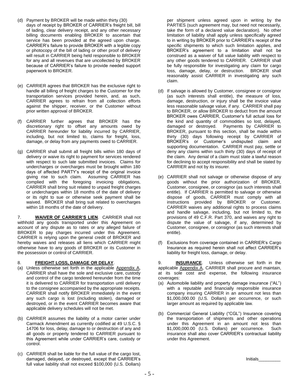- (d) Payment by BROKER will be made within thirty (30) days of receipt by BROKER of CARRIER's freight bill, bill of lading, clear delivery receipt, and any other necessary billing documents enabling BROKER to ascertain that service has been provided at the agreed upon charge. CARRIER's failure to provide BROKER with a legible copy or photocopy of the bill of lading or other proof of delivery will result in CARRIER being held responsible to BROKER for any and all revenues that are uncollected by BROKER because of CARRIER's failure to provide needed support paperwork to BROKER.
- (e) CARRIER agrees that BROKER has the exclusive right to handle all billing of freight charges to the Customer for the transportation services provided herein, and, as such, CARRIER agrees to refrain from all collection efforts against the shipper, receiver, or the Customer without prior written approval of BROKER.
- (f) CARRIER further agrees that BROKER has the discretionary right to offset any amounts owed by CARRIER hereunder for liability incurred by CARRIER, including, but not limited to, claims for freight, loss, damage, or delay from any payments owed to CARRIER.
- (g) CARRIER shall submit all freight bills within 180 days of delivery or waive its right to payment for services rendered with respect to such late submitted invoices. Claims for undercharges or overcharges must be brought within 180 days of affected PARTY's receipt of the original invoice giving rise to such claim. Assuming CARRIER has complied with the foregoing invoicing obligations, CARRIER shall bring suit related to unpaid freight charges or undercharges within 18 months of the date of delivery or its right to sue or otherwise seek payment shall be waived. BROKER shall bring suit related to overcharges within 18 months of the date of delivery.

7. **WAIVER OF CARRIER'S LIEN**. CARRIER shall not withhold any goods transported under this Agreement on account of any dispute as to rates or any alleged failure of BROKER to pay charges incurred under this Agreement. CARRIER is relying upon the general credit of BROKER and hereby waives and releases all liens which CARRIER might otherwise have to any goods of BROKER or its Customer in the possession or control of CARRIER.

#### 8. **FREIGHT LOSS, DAMAGE OR DELAY**.

- (a) Unless otherwise set forth in the applicable Appendix A, CARRIER shall have the sole and exclusive care, custody and control of the cargo tendered hereunder from the time it is delivered to CARRIER for transportation until delivery to the consignee accompanied by the appropriate receipts. CARRIER shall notify BROKER immediately in the event any such cargo is lost (including stolen), damaged or destroyed, or in the event CARRIER becomes aware that applicable delivery schedules will not be met.
- (b) CARRIER assumes the liability of a motor carrier under Carmack Amendment as currently codified at 49 U.S.C. § 14706 for loss, delay, damage to or destruction of any and all goods or property tendered to CARRIER pursuant to this Agreement while under CARRIER's care, custody or control.
- (c) CARRIER shall be liable for the full value of the cargo lost, damaged, delayed, or destroyed, except that CARRIER's full value liability shall not exceed \$100,000 (U.S. Dollars)

per shipment unless agreed upon in writing by the PARTIES (such agreement may, but need not necessarily, take the form of a declared value declaration). No other limitation of liability shall apply unless specifically agreed to in writing by BROKER prior to CARRIER's receipt of the specific shipments to which such limitation applies, and BROKER's agreement to a limitation shall not be construed as a waiver of full value liability with respect to any other goods tendered to CARRIER. CARRIER shall be fully responsible for investigating any claim for cargo loss, damage, delay, or destruction. BROKER shall reasonably assist CARRIER in investigating any such claim.

- (d) If salvage is allowed by Customer, consignee or consignor (as such interests shall entitle), the measure of loss, damage, destruction, or injury shall be the invoice value less reasonable salvage value, if any. CARRIER shall pay to BROKER, or allow BROKER to deduct from the amount BROKER owes CARRIER, Customer's full actual loss for the kind and quantity of commodities so lost, delayed, damaged or destroyed. Payments by CARRIER to BROKER, pursuant to this section, shall be made within thirty (30) days following receipt by CARRIER of BROKER's or Customer's undisputed claim and supporting documentation. CARRIER must pay, settle or deny any claims within such thirty (30) days of receipt of the claim. Any denial of a claim must state a lawful reason for declining to accept responsibility and shall be stated by CARRIER and not by its insurer.
- (e) CARRIER shall not salvage or otherwise dispose of any goods without the prior authorization of BROKER, Customer, consignee, or consignor (as such interests shall entitle). If CARRIER is permitted to salvage or otherwise dispose of goods, CARRIER must comply with all instructions provided by BROKER or Customer. CARRIER waives any additional rights to process claims and handle salvage, including, but not limited to, the provisions of 49 C.F.R. Part 370, and waives any right to dispute the value of salvage, if any, determined by Customer, consignee, or consignor (as such interests shall entitle).
- (f) Exclusions from coverage contained in CARRIER's Cargo Insurance as required herein shall not affect CARRIER's liability for freight loss, damage, or delay.

9. **INSURANCE**. Unless otherwise set forth in the applicable Appendix A, CARRIER shall procure and maintain, at its sole cost and expense, the following insurance coverages:

- (a) Automobile liability and property damage insurance ("AL") with a reputable and financially responsible insurance company insuring CARRIER in an amount not less than \$1,000,000.00 (U.S. Dollars) per occurrence, or such larger amount as required by applicable law.
- (b) Commercial General Liability ("CGL") Insurance covering the transportation of shipments and other operations under this Agreement in an amount not less than \$1,000,000.00 (U.S. Dollars) per occurrence. Such insurance shall also cover CARRIER's contractual liability under this Agreement.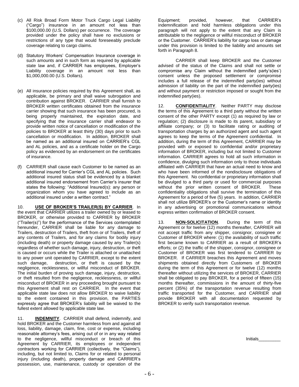- (c) All Risk Broad Form Motor Truck Cargo Legal Liability ("Cargo") insurance in an amount not less than \$100,000.00 (U.S. Dollars) per occurrence. The coverage provided under the policy shall have no exclusions or restrictions of any type that would foreseeably preclude coverage relating to cargo claims.
- (d) Statutory Workers' Compensation Insurance coverage in such amounts and in such form as required by applicable state law and, if CARRIER has employees, Employer's Liability coverage in an amount not less than \$1,000,000.00 (U.S. Dollars).
- (e) All insurance policies required by this Agreement shall, as applicable, be primary and shall waive subrogation and contribution against BROKER. CARRIER shall furnish to BROKER written certificates obtained from the insurance carrier showing that such insurance has been procured, is being properly maintained, the expiration date, and specifying that the insurance carrier shall endeavor to provide written notice of cancellation or modification of the policies to BROKER at least thirty (30) days prior to such cancellation or modification. In addition, BROKER shall be named as an additional insured on CARRIER's CGL and AL policies, and as a certificate holder on the Cargo policy as evidenced by an endorsement on the certificates of insurance.
- (f) CARRIER shall cause each Customer to be named as an additional insured for Carrier's CGL and AL policies. Such additional insured status shall be evidenced by a blanket additional insured endorsement from Carrier's insurer that states the following: "Additional Insured(s): any person or organization whom you have agreed to include as an additional insured under a written contract."

10. **USE OF BROKER'S TRAILER(S) BY CARRIER**. In the event that CARRIER utilizes a trailer owned by or leased to BROKER, or otherwise provided to CARRIER by BROKER ("Trailer(s)") for the performance of the Services contemplated hereunder, CARRIER shall be liable for any damage to Trailers, destruction of Trailers, theft from or of Trailers, theft of any contents of Trailers, and for any claims for bodily injury (including death) or property damage caused by any Trailer(s) regardless of whether such damage, injury, destruction, or theft is caused or occurs while the Trailer is attached or unattached to any power unit operated by CARRIER, except to the extent such damage, destruction, or theft is caused by the negligence, recklessness, or willful misconduct of BROKER. The initial burden of proving such damage, injury, destruction, or theft resulted from the negligence, recklessness, or willful misconduct of BROKER in any proceeding brought pursuant to this Agreement shall rest on CARRIER. In the event that applicable state law does not allow BROKER to waive liability to the extent contained in this provision, the PARTIES expressly agree that BROKER's liability will be waived to the fullest extent allowed by applicable state law.

11. **INDEMNITY**. CARRIER shall defend, indemnify, and hold BROKER and the Customer harmless from and against all loss, liability, damage, claim, fine, cost or expense, including reasonable attorney's fees, arising out of or in any way related to the negligence, willful misconduct or breach of this Agreement by CARRIER, its employees or independent contractors working for CARRIER (collectively, the "Claims"), including, but not limited to, Claims for or related to personal injury (including death), property damage and CARRIER's possession, use, maintenance, custody or operation of the

Equipment; provided, however, that CARRIER's indemnification and hold harmless obligations under this paragraph will not apply to the extent that any Claim is attributable to the negligence or willful misconduct of BROKER or the Customer. CARRIER's liability for cargo loss or damage under this provision is limited to the liability and amounts set forth in Paragraph 8.

CARRIER shall keep BROKER and the Customer advised of the status of the Claims and shall not settle or compromise any Claim without the indemnified party's(ies') consent unless the proposed settlement or compromise includes a full release of the indemnified party(ies) without admission of liability on the part of the indemnified party(ies) and without payment or restriction imposed or sought from the indemnified party(ies).

12. **CONFIDENTIALITY**. Neither PARTY may disclose the terms of this Agreement to a third party without the written consent of the other PARTY except (1) as required by law or regulation; (2) disclosure is made to its parent, subsidiary or affiliate company; or (3) to facilitate rating or auditing of transportation charges by an authorized agent and such agent agrees to keep the terms of the Agreement confidential. In addition, during the term of this Agreement, CARRIER may be provided with or exposed to confidential and/or proprietary information of BROKER, including but not limited to Customer information. CARRIER agrees to hold all such information in confidence, divulging such information only to those individuals affiliated with CARRIER that have an actual need to know and who have been informed of the nondisclosure obligations of this Agreement. No confidential or proprietary information shall be divulged to a third party or used for commercial purposes without the prior written consent of BROKER. These confidentiality obligations shall survive the termination of this Agreement for a period of five (5) years. In addition, CARRIER shall not utilize BROKER's or the Customer's name or identity in any advertising or promotional communications without express written confirmation of BROKER consent.

13. **NON-SOLICITATION**. During the term of this Agreement or for twelve (12) months thereafter, CARRIER will not accept traffic from any shipper, consignor, consignee or Customer of BROKER where: (1) the availability of such traffic first became known to CARRIER as a result of BROKER's efforts; or (2) the traffic of the shipper, consignor, consignee or Customer of BROKER was first tendered to CARRIER by BROKER. If CARRIER breaches this Agreement and moves shipments obtained directly from Customers of BROKER during the term of this Agreement or for twelve (12) months thereafter without utilizing the services of BROKER, CARRIER shall be obligated to pay BROKER, for a period of fifteen (15) months thereafter, commissions in the amount of thirty-five percent (35%) of the transportation revenue resulting from traffic transported for the Customer, and CARRIER shall provide BROKER with all documentation requested by BROKER to verify such transportation revenue.

Initials\_\_\_\_\_\_\_\_\_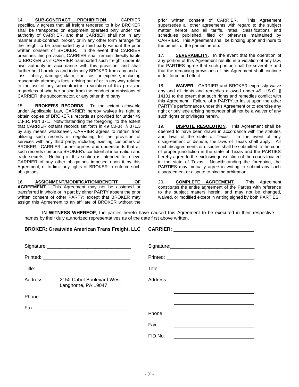14. **SUB-CONTRACT PROHIBITION**. CARRIER specifically agrees that all freight tendered to it by BROKER shall be transported on equipment operated only under the authority of CARRIER, and that CARRIER shall not in any manner sub-contract, broker, or in any other form arrange for the freight to be transported by a third party without the prior written consent of BROKER. In the event that CARRIER breaches this provision, CARRIER shall remain directly liable to BROKER as if CARRIER transported such freight under its own authority in accordance with this provision, and shall further hold harmless and indemnify BROKER from any and all loss, liability, damage, claim, fine, cost or expense, including reasonable attorney's fees, arising out of or in any way related to the use of any subcontractor in violation of this provision regardless of whether arising from the conduct or omissions of CARRIER, the subcontractor, or any other third party.

15. **BROKER'S RECORDS**. To the extent allowable under Applicable Law, CARRIER hereby waives its right to obtain copies of BROKER's records as provided for under 49 C.F.R. Part 371. Notwithstanding the foregoing, to the extent that CARRIER obtains records set forth in 49 C.F.R. § 371.3 by any means whatsoever, CARRIER agrees to refrain from utilizing such records in negotiating for the provision of services with any third party, including existing customers of BROKER. CARRIER further agrees and understands that all such records comprise BROKER's confidential information and trade-secrets. Nothing in this section is intended to relieve CARRIER of any other obligations imposed upon it by this Agreement, or to limit any rights of BROKER to enforce such obligations.

16. **ASSIGNMENT/MODIFICATION/BENEFIT OF AGREEMENT**. This Agreement may not be assigned or transferred in whole or in part by either PARTY absent the prior written consent of other PARTY; except that BROKER may assign this Agreement to an affiliate of BROKER without the

prior written consent of CARRIER. This Agreement supersedes all other agreements with regard to the subject matter hereof and all tariffs, rates, classifications and schedules published, filed or otherwise maintained by CARRIER. This Agreement shall be binding upon and inure to the benefit of the parties hereto.

17. **SEVERABILITY**. In the event that the operation of any portion of this Agreement results in a violation of any law, the PARTIES agree that such portion shall be severable and that the remaining provisions of this Agreement shall continue in full force and effect.

18. **WAIVER**. CARRIER and BROKER expressly waive any and all rights and remedies allowed under 49 U.S.C. § 14101 to the extent that such rights and remedies conflict with this Agreement. Failure of a PARTY to insist upon the other PARTY's performance under this Agreement or to exercise any right or privilege arising hereunder shall not be a waiver of any such rights or privileges herein.

19. **DISPUTE RESOLUTION**. This Agreement shall be deemed to have been drawn in accordance with the statutes and laws of the state of Texas. In the event of any disagreement or dispute, the laws of Texas shall apply. All such disagreements or disputes shall be submitted to the court of proper jurisdiction in the state of Texas and the PARTIES hereby agree to the exclusive jurisdiction of the courts located in the state of Texas. Notwithstanding the foregoing, the PARTIES may mutually agree in writing to submit any such disagreement or dispute to binding arbitration.

20. **COMPLETE AGREEMENT**. This Agreement constitutes the entire agreement of the Parties with reference to the subject matters herein, and may not be changed, waived, or modified except in writing signed by both PARTIES.

**IN WITNESS WHEREOF**, the parties hereto have caused this Agreement to be executed in their respective names by their duly authorized representatives as of the date first above written.

| BROKER: Greatwide American Trans Freight, LLC CARRIER: CARRIER: CARRIER: CARRIER: |                                                  |          |                                                          |
|-----------------------------------------------------------------------------------|--------------------------------------------------|----------|----------------------------------------------------------|
|                                                                                   |                                                  |          |                                                          |
|                                                                                   |                                                  |          |                                                          |
|                                                                                   |                                                  |          |                                                          |
|                                                                                   |                                                  |          |                                                          |
| Address:                                                                          | 2150 Cabot Boulevard West<br>Langhorne, PA 19047 | Address: | <u> 1980 - Jan Stein Stein, fransk politik (f. 1980)</u> |
|                                                                                   |                                                  |          |                                                          |
|                                                                                   |                                                  |          |                                                          |
|                                                                                   |                                                  | Phone:   |                                                          |
|                                                                                   |                                                  | Fax:     |                                                          |
|                                                                                   |                                                  | FID No:  |                                                          |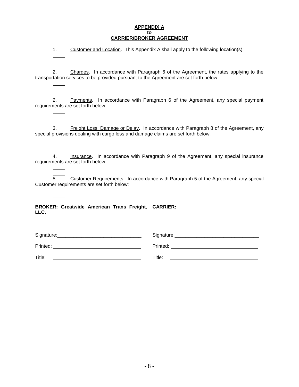#### **APPENDIX A to CARRIER/BROKER AGREEMENT**

1. Customer and Location. This Appendix A shall apply to the following location(s):

2. Charges. In accordance with Paragraph 6 of the Agreement, the rates applying to the transportation services to be provided pursuant to the Agreement are set forth below:

2. Payments. In accordance with Paragraph 6 of the Agreement, any special payment requirements are set forth below:

3. Freight Loss, Damage or Delay. In accordance with Paragraph 8 of the Agreement, any special provisions dealing with cargo loss and damage claims are set forth below:

4. Insurance. In accordance with Paragraph 9 of the Agreement, any special insurance requirements are set forth below:

5. Customer Requirements. In accordance with Paragraph 5 of the Agreement, any special Customer requirements are set forth below:

**BROKER: Greatwide American Trans Freight, CARRIER: LLC.**

Signature:\_\_\_\_\_\_\_\_\_\_\_\_\_\_\_\_\_\_\_\_\_\_\_\_\_\_\_\_\_\_\_ Printed: Title: **The Community of the Community of the Community of the Community of the Community of the Community of the Community of the Community of the Community of the Community of the Community of the Community of the Commun** Signature:\_\_\_\_\_\_\_\_\_\_\_\_\_\_\_\_\_\_\_\_\_\_\_\_\_\_\_\_\_\_\_ Printed: **Example 2018** Title: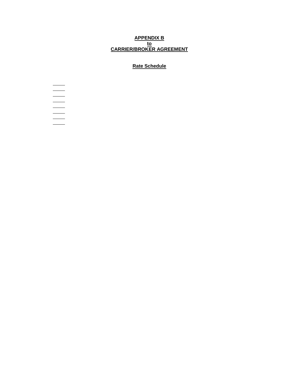#### **APPENDIX B to CARRIER/BROKER AGREEMENT**

### **Rate Schedule**